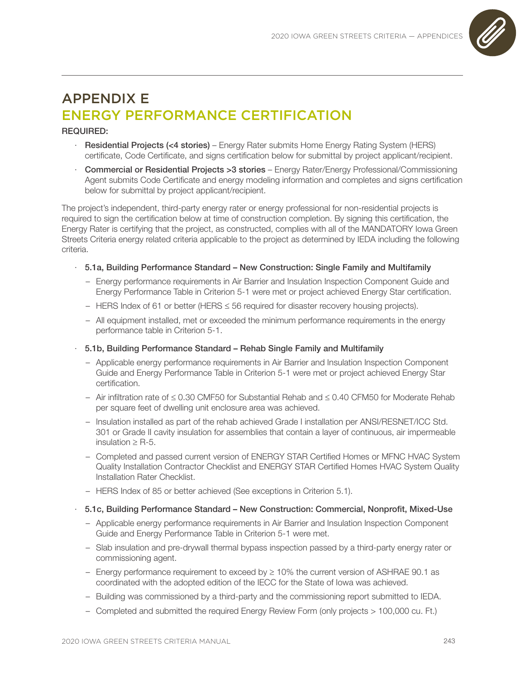

# APPENDIX E ENERGY PERFORMANCE CERTIFICATION

## REQUIRED:

- Residential Projects (<4 stories) Energy Rater submits Home Energy Rating System (HERS) certificate, Code Certificate, and signs certification below for submittal by project applicant/recipient.
- · Commercial or Residential Projects >3 stories Energy Rater/Energy Professional/Commissioning Agent submits Code Certificate and energy modeling information and completes and signs certification below for submittal by project applicant/recipient.

The project's independent, third-party energy rater or energy professional for non-residential projects is required to sign the certification below at time of construction completion. By signing this certification, the Energy Rater is certifying that the project, as constructed, complies with all of the MANDATORY Iowa Green Streets Criteria energy related criteria applicable to the project as determined by IEDA including the following criteria.

- · 5.1a, Building Performance Standard New Construction: Single Family and Multifamily
	- Energy performance requirements in Air Barrier and Insulation Inspection Component Guide and Energy Performance Table in Criterion 5-1 were met or project achieved Energy Star certification.
	- HERS Index of 61 or better (HERS ≤ 56 required for disaster recovery housing projects).
	- All equipment installed, met or exceeded the minimum performance requirements in the energy performance table in Criterion 5-1.
- · 5.1b, Building Performance Standard Rehab Single Family and Multifamily
	- Applicable energy performance requirements in Air Barrier and Insulation Inspection Component Guide and Energy Performance Table in Criterion 5-1 were met or project achieved Energy Star certification.
	- Air infiltration rate of ≤ 0.30 CMF50 for Substantial Rehab and ≤ 0.40 CFM50 for Moderate Rehab per square feet of dwelling unit enclosure area was achieved.
	- Insulation installed as part of the rehab achieved Grade I installation per ANSI/RESNET/ICC Std. 301 or Grade II cavity insulation for assemblies that contain a layer of continuous, air impermeable insulation  $\geq$  R-5.
	- Completed and passed current version of ENERGY STAR Certified Homes or MFNC HVAC System Quality Installation Contractor Checklist and ENERGY STAR Certified Homes HVAC System Quality Installation Rater Checklist.
	- HERS Index of 85 or better achieved (See exceptions in Criterion 5.1).

#### · 5.1c, Building Performance Standard – New Construction: Commercial, Nonprofit, Mixed-Use

- Applicable energy performance requirements in Air Barrier and Insulation Inspection Component Guide and Energy Performance Table in Criterion 5-1 were met.
- Slab insulation and pre-drywall thermal bypass inspection passed by a third-party energy rater or commissioning agent.
- Energy performance requirement to exceed by  $\geq 10\%$  the current version of ASHRAE 90.1 as coordinated with the adopted edition of the IECC for the State of Iowa was achieved.
- Building was commissioned by a third-party and the commissioning report submitted to IEDA.
- Completed and submitted the required Energy Review Form (only projects > 100,000 cu. Ft.)